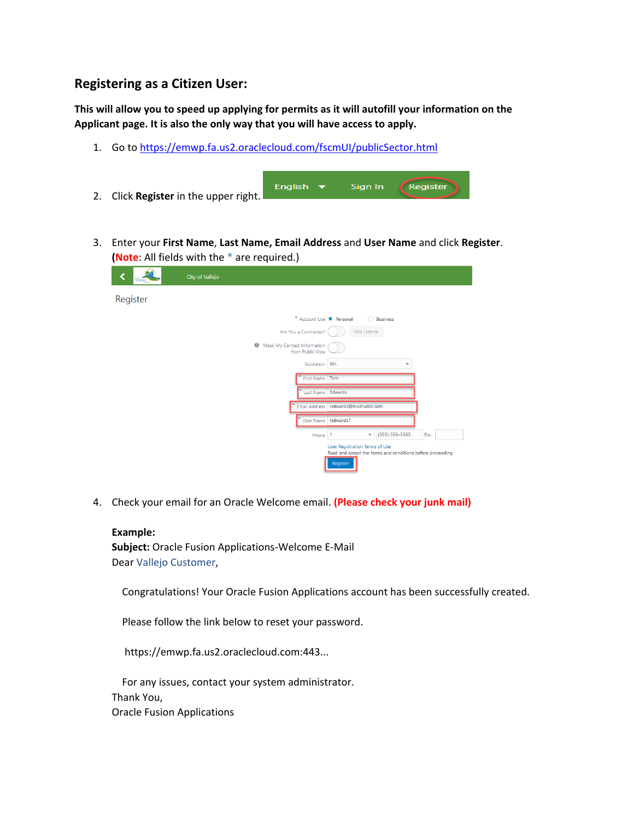## **Registering as a Citizen User:**

**This will allow you to speed up applying for permits as it will autofill your information on the Applicant page. It is also the only way that you will have access to apply.**

1. Go to<https://emwp.fa.us2.oraclecloud.com/fscmUI/publicSector.html>

| 2. Click <b>Register</b> in the upper right. | English $\blacktriangledown$ | Sian In | Reaister |
|----------------------------------------------|------------------------------|---------|----------|
|                                              |                              |         |          |

3. Enter your **First Name**, **Last Name, Email Address** and **User Name** and click **Register**. **(Note**: All fields with the **\*** are required.)

|          | WILED | City of Vallejo |                                                                                                                 |
|----------|-------|-----------------|-----------------------------------------------------------------------------------------------------------------|
| Register |       |                 |                                                                                                                 |
|          |       |                 | * Account Use <sup>O</sup> Personal<br><b>Business</b><br>∩                                                     |
|          |       |                 | Add License<br>Are You a Contractor?                                                                            |
|          |       |                 | $\circledcirc$<br>Mask My Contact Information<br>from Public View                                               |
|          |       |                 | Salutation   Mr.<br>÷                                                                                           |
|          |       |                 | First Name Tom                                                                                                  |
|          |       |                 | Last Name Edwards                                                                                               |
|          |       |                 | tedwards@mailinator.com<br><b>Email Address</b>                                                                 |
|          |       |                 | tedwards1<br><b>User Name</b>                                                                                   |
|          |       |                 | (555) 555-5555<br>Ext.<br>٠<br>1<br>Phone                                                                       |
|          |       |                 | <b>User Registration Terms of Use</b><br>Read and accept the terms and conditions before proceeding<br>Register |

4. Check your email for an Oracle Welcome email. **(Please check your junk mail)**

## **Example:**

**Subject:** Oracle Fusion Applications-Welcome E-Mail Dear Vallejo Customer,

Congratulations! Your Oracle Fusion Applications account has been successfully created.

Please follow the link below to reset your password.

https://emwp.fa.us2.oraclecloud.com:443...

 For any issues, contact your system administrator. Thank You, Oracle Fusion Applications